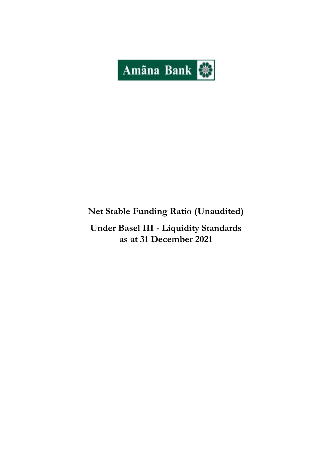

# **Net Stable Funding Ratio (Unaudited)**

**Under Basel III - Liquidity Standards as at 31 December 2021**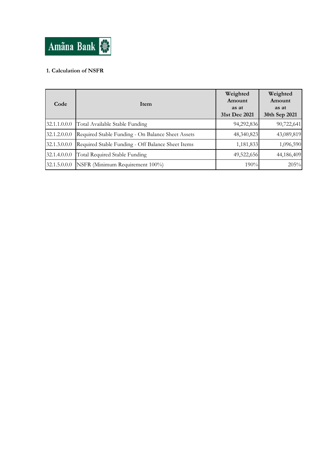

## **1. Calculation of NSFR**

| Code         | Item                                              | Weighted<br>Amount<br>as at<br>31st Dec 2021 | Weighted<br>Amount<br>as at<br>30th Sep 2021 |
|--------------|---------------------------------------------------|----------------------------------------------|----------------------------------------------|
| 32.1.1.0.0.0 | Total Available Stable Funding                    | 94,292,836                                   | 90,722,641                                   |
| 32.1.2.0.0.0 | Required Stable Funding - On Balance Sheet Assets | 48,340,823                                   | 43,089,819                                   |
| 32.1.3.0.0.0 | Required Stable Funding - Off Balance Sheet Items | 1,181,833                                    | 1,096,590                                    |
| 32.1.4.0.0.0 | Total Required Stable Funding                     | 49,522,656                                   | 44,186,409                                   |
| 32.1.5.0.0.0 | NSFR (Minimum Requirement 100%)                   | 190%                                         | 205%                                         |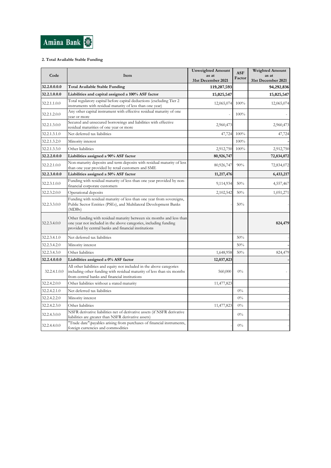

### **2. Total Available Stable Funding**

| Code         | Item                                                                                                                                                                                              | <b>Unweighted Amount</b>    | <b>ASF</b> | <b>Weighted Amount</b>      |
|--------------|---------------------------------------------------------------------------------------------------------------------------------------------------------------------------------------------------|-----------------------------|------------|-----------------------------|
|              |                                                                                                                                                                                                   | as at<br>31st December 2021 | Factor     | as at<br>31st December 2021 |
| 32.2.0.0.0.0 | Total Available Stable Funding                                                                                                                                                                    | 119,207,593                 |            | 94,292,836                  |
| 32.2.1.0.0.0 | Liabilities and capital assigned a 100% ASF factor                                                                                                                                                | 15,025,547                  |            | 15,025,547                  |
| 32.2.1.1.0.0 | Total regulatory capital before capital deductions (excluding Tier 2)<br>instruments with residual maturity of less than one year)                                                                | 12,065,074                  | 100%       | 12,065,074                  |
| 32.2.1.2.0.0 | Any other capital instrument with effective residual maturity of one<br>year or more                                                                                                              |                             | 100%       |                             |
| 32.2.1.3.0.0 | Secured and unsecured borrowings and liabilities with effective<br>residual maturities of one year or more                                                                                        | 2,960,473                   |            | 2,960,473                   |
| 32.2.1.3.1.0 | Net deferred tax liabilities                                                                                                                                                                      | 47,724                      | 100%       | 47,724                      |
| 32.2.1.3.2.0 | Minority interest                                                                                                                                                                                 |                             | 100%       |                             |
| 32.2.1.3.3.0 | Other liabilities                                                                                                                                                                                 | 2,912,750                   | 100%       | 2,912,750                   |
| 32.2.2.0.0.0 | Liabilities assigned a 90% ASF factor                                                                                                                                                             | 80,926,747                  |            | 72,834,072                  |
| 32.2.2.1.0.0 | Non-maturity deposits and term deposits with residual maturity of less<br>than one year provided by retail customers and SME                                                                      | 80,926,747                  | 90%        | 72,834,072                  |
| 32.2.3.0.0.0 | Liabilities assigned a 50% ASF factor                                                                                                                                                             | 11,217,476                  |            | 6,433,217                   |
| 32.2.3.1.0.0 | Funding with residual maturity of less than one year provided by non-<br>financial corporate customers                                                                                            | 9,114,934                   | 50%        | 4,557,467                   |
| 32.2.3.2.0.0 | Operational deposits                                                                                                                                                                              | 2,102,542                   | 50%        | 1,051,271                   |
| 32.2.3.3.0.0 | Funding with residual maturity of less than one year from sovereigns,<br>Public Sector Entities (PSEs), and Multilateral Development Banks<br>(MDBs)                                              |                             | 50%        |                             |
| 32.2.3.4.0.0 | Other funding with residual maturity between six months and less than<br>one year not included in the above categories, including funding<br>provided by central banks and financial institutions |                             |            | 824,479                     |
| 32.2.3.4.1.0 | Net deferred tax liabilities                                                                                                                                                                      |                             | 50%        |                             |
| 32.2.3.4.2.0 | Minority interest                                                                                                                                                                                 |                             | 50%        |                             |
| 32.2.3.4.3.0 | Other liabilities                                                                                                                                                                                 | 1,648,958                   | 50%        | 824,479                     |
| 32.2.4.0.0.0 | Liabilities assigned a 0% ASF factor                                                                                                                                                              | 12,037,823                  |            |                             |
| 32.2.4.1.0.0 | All other liabilities and equity not included in the above categories<br>including other funding with residual maturity of less than six months<br>from central banks and financial institutions  | 560,000                     | $0\%$      |                             |
| 32.2.4.2.0.0 | Other liabilities without a stated maturity                                                                                                                                                       | 11,477,823                  |            |                             |
| 32.2.4.2.1.0 | Net deferred tax liabilities                                                                                                                                                                      |                             | $0\%$      |                             |
| 32.2.4.2.2.0 | Minority interest                                                                                                                                                                                 |                             | $0\%$      |                             |
| 32.2.4.2.3.0 | Other liabilities                                                                                                                                                                                 | 11,477,823                  | $0\%$      |                             |
| 32.2.4.3.0.0 | NSFR derivative liabilities net of derivative assets (if NSFR derivative<br>liabilities are greater than NSFR derivative assets)                                                                  |                             | $0\%$      |                             |
| 32.2.4.4.0.0 | "Trade date" payables arising from purchases of financial instruments,<br>foreign currencies and commodities                                                                                      |                             | $0\%$      |                             |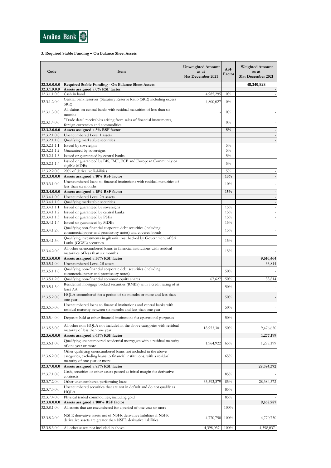

### **3. Required Stable Funding – On Balance Sheet Assets**

| Code                         | Item                                                                                                                                                                    | <b>Unweighted Amount</b><br>as at<br>31st December 2021 | <b>ASF</b><br>Factor | <b>Weighted Amount</b><br>as at<br>31st December 2021 |
|------------------------------|-------------------------------------------------------------------------------------------------------------------------------------------------------------------------|---------------------------------------------------------|----------------------|-------------------------------------------------------|
| 32.3.0.0.0.0                 | Required Stable Funding - On Balance Sheet Assets                                                                                                                       |                                                         |                      | 48,340,823                                            |
| 32.3.1.0.0.0                 | Assets assigned a 0% RSF factor                                                                                                                                         |                                                         |                      |                                                       |
| 32.3.1.1.0.0<br>32.3.1.2.0.0 | Cash in hand<br>Central bank reserves (Statutory Reserve Ratio (SRR) including excess                                                                                   | 4,985,295<br>4,800,027                                  | $0\%$<br>$0\%$       |                                                       |
| 32.3.1.3.0.0                 | SRR)<br>All claims on central banks with residual maturities of less than six<br>months                                                                                 |                                                         | $0\%$                |                                                       |
| 32.3.1.4.0.0                 | "Trade date" receivables arising from sales of financial instruments,<br>foreign currencies and commodities                                                             |                                                         | $0\%$                |                                                       |
| 32.3.2.0.0.0                 | Assets assigned a 5% RSF factor                                                                                                                                         |                                                         | 5%                   |                                                       |
| 32.3.2.1.0.0                 | Unencumbered Level 1 assets                                                                                                                                             |                                                         |                      |                                                       |
| 32.3.2.1.1.0                 | Qualifying marketable securities                                                                                                                                        |                                                         |                      |                                                       |
| 32.3.2.1.1.1                 | Issued by sovereigns                                                                                                                                                    |                                                         | $5\%$                |                                                       |
| 32.3.2.1.1.2                 | Guaranteed by sovereigns                                                                                                                                                |                                                         | $5\%$                |                                                       |
| 32.3.2.1.1.3<br>32.3.2.1.1.4 | Issued or guaranteed by central banks<br>Issued or guaranteed by BIS, IMF, ECB and European Community or                                                                |                                                         | $5\%$<br>$5\%$       |                                                       |
|                              | eligible MDBs                                                                                                                                                           |                                                         |                      |                                                       |
| 32.3.2.2.0.0<br>32.3.3.0.0.0 | 20% of derivative liabilities<br>Assets assigned a 10% RSF factor                                                                                                       |                                                         | $5\%$<br>10%         |                                                       |
| 32.3.3.1.0.0                 | Unencumbered loans to financial institutions with residual maturities of                                                                                                |                                                         | 10%                  |                                                       |
|                              | less than six months                                                                                                                                                    |                                                         |                      |                                                       |
| 32.3.4.0.0.0<br>32.3.4.1.0.0 | Assets assigned a 15% RSF factor<br>Unencumbered Level 2A assets                                                                                                        |                                                         | 15%                  |                                                       |
| 32.3.4.1.1.0                 | Qualifying marketable securities                                                                                                                                        |                                                         |                      |                                                       |
| 32.3.4.1.1.1                 | Issued or guaranteed by sovereigns                                                                                                                                      |                                                         | 15%                  |                                                       |
| 32.3.4.1.1.2                 | Issued or guaranteed by central banks                                                                                                                                   |                                                         | 15%                  |                                                       |
| 32.3.4.1.1.3                 | Issued or guaranteed by PSEs                                                                                                                                            |                                                         | 15%                  |                                                       |
| 32.3.4.1.1.4                 | Issued or guaranteed by MDBs                                                                                                                                            |                                                         | 15%                  |                                                       |
| 32.3.4.1.2.0                 | Qualifying non-financial corporate debt securities (including<br>commercial paper and promissory notes) and covered bonds                                               |                                                         | 15%                  |                                                       |
| 32.3.4.1.3.0                 | Qualifying investments in gilt unit trust backed by Government of Sri<br>Lanka (GOSL) securities                                                                        |                                                         | 15%                  |                                                       |
| 32.3.4.2.0.0                 | All other unencumbered loans to financial institutions with residual<br>maturities of less than six months                                                              |                                                         | 15%                  |                                                       |
| 32.3.5.0.0.0                 | Assets assigned a 50% RSF factor                                                                                                                                        |                                                         |                      | 9,510,464                                             |
| 32.3.5.1.0.0                 | Unencumbered Level 2B assets                                                                                                                                            |                                                         |                      | 33,814                                                |
| 32.3.5.1.1.0                 | Qualifying non-financial corporate debt securities (including                                                                                                           |                                                         | 50%                  |                                                       |
|                              | commercial paper and promissory notes)                                                                                                                                  |                                                         |                      |                                                       |
| 32.3.5.1.2.0                 | Qualifying non-financial common equity shares<br>Residential mortgage backed securities (RMBS) with a credit rating of at                                               | 67,627                                                  | 50%                  | 33,814                                                |
| 32.3.5.1.3.0                 | least AA                                                                                                                                                                |                                                         | 50%                  |                                                       |
| 32.3.5.2.0.0                 | HQLA encumbered for a period of six months or more and less than<br>one year                                                                                            |                                                         | 50%                  |                                                       |
| 32.3.5.3.0.0                 | Unencumbered loans to financial institutions and central banks with<br>residual maturity between six months and less than one year                                      |                                                         | 50%                  |                                                       |
| 32.3.5.4.0.0                 | Deposits held at other financial institutions for operational purposes                                                                                                  |                                                         | 50%                  |                                                       |
| 32.3.5.5.0.0                 | All other non HQLA not included in the above categories with residual<br>maturity of less than one year                                                                 | 18,953,301                                              | 50%                  | 9,476,650                                             |
| 32.3.6.0.0.0                 | Assets assigned a 65% RSF factor                                                                                                                                        |                                                         |                      | 1,277,199                                             |
| 32.3.6.1.0.0                 | Qualifying unencumbered residential mortgages with a residual maturity<br>of one year or more                                                                           | 1,964,922                                               | 65%                  | 1,277,199                                             |
| 32.3.6.2.0.0                 | Other qualifying unencumbered loans not included in the above<br>categories, excluding loans to financial institutions, with a residual<br>maturity of one year or more |                                                         | 65%                  |                                                       |
| 32.3.7.0.0.0                 | Assets assigned a 85% RSF factor                                                                                                                                        |                                                         |                      | 28,384,372                                            |
| 32.3.7.1.0.0                 | Cash, securities or other assets posted as initial margin for derivative<br>contracts                                                                                   |                                                         | 85%                  |                                                       |
| 32.3.7.2.0.0                 | Other unencumbered performing loans                                                                                                                                     | 33,393,379                                              | 85%                  | 28,384,372                                            |
| 32.3.7.3.0.0                 | Unencumbered securities that are not in default and do not qualify as<br>HQLA                                                                                           |                                                         | 85%                  |                                                       |
| 32.3.7.4.0.0                 | Physical traded commodities, including gold                                                                                                                             |                                                         | 85%                  |                                                       |
| 32.3.8.0.0.0                 | Assets assigned a 100% RSF factor                                                                                                                                       |                                                         |                      | 9,168,787                                             |
| 32.3.8.1.0.0                 | All assets that are encumbered for a period of one year or more                                                                                                         |                                                         | 100%                 |                                                       |
| 32.3.8.2.0.0                 | NSFR derivative assets net of NSFR derivative liabilities if NSFR<br>derivative assets are greater than NSFR derivative liabilities                                     | 4,770,750                                               | 100%                 | 4,770,750                                             |
| 32.3.8.3.0.0                 | All other assets not included in above                                                                                                                                  | 4,398,037                                               | 100%                 | 4,398,037                                             |